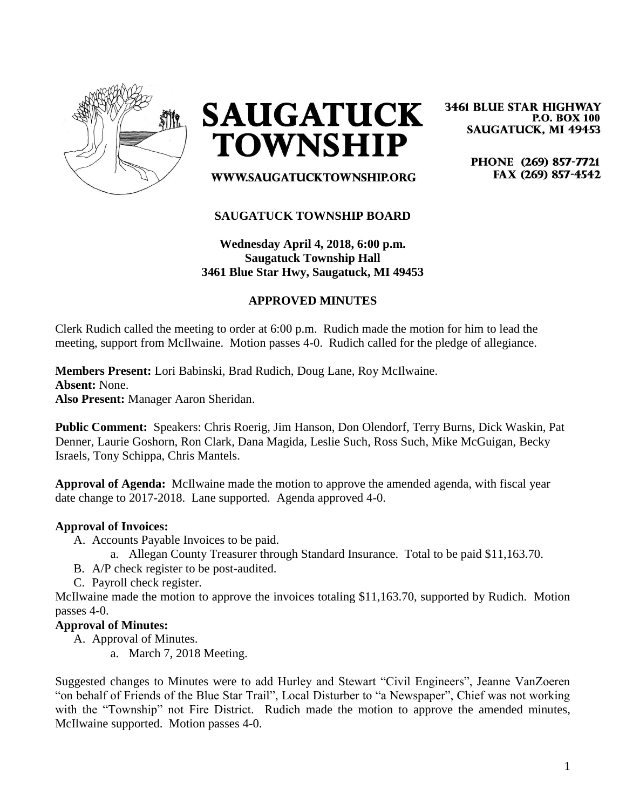

**SAUGATUCK TOWNSHIP** 

**3461 BLUE STAR HIGHWAY P.O. BOX 100 SAUGATUCK, MI 49453** 

> PHONE (269) 857-7721 FAX (269) 857-4542

## **SAUGATUCK TOWNSHIP BOARD**

WWW.SAUGATUCKTOWNSHIP.ORG

**Wednesday April 4, 2018, 6:00 p.m. Saugatuck Township Hall 3461 Blue Star Hwy, Saugatuck, MI 49453**

## **APPROVED MINUTES**

Clerk Rudich called the meeting to order at 6:00 p.m. Rudich made the motion for him to lead the meeting, support from McIlwaine. Motion passes 4-0. Rudich called for the pledge of allegiance.

**Members Present:** Lori Babinski, Brad Rudich, Doug Lane, Roy McIlwaine. **Absent:** None. **Also Present:** Manager Aaron Sheridan.

**Public Comment:** Speakers: Chris Roerig, Jim Hanson, Don Olendorf, Terry Burns, Dick Waskin, Pat Denner, Laurie Goshorn, Ron Clark, Dana Magida, Leslie Such, Ross Such, Mike McGuigan, Becky Israels, Tony Schippa, Chris Mantels.

**Approval of Agenda:** McIlwaine made the motion to approve the amended agenda, with fiscal year date change to 2017-2018. Lane supported. Agenda approved 4-0.

#### **Approval of Invoices:**

- A. Accounts Payable Invoices to be paid.
	- a. Allegan County Treasurer through Standard Insurance. Total to be paid \$11,163.70.
- B. A/P check register to be post-audited.
- C. Payroll check register.

McIlwaine made the motion to approve the invoices totaling \$11,163.70, supported by Rudich. Motion passes 4-0.

#### **Approval of Minutes:**

- A. Approval of Minutes.
	- a. March 7, 2018 Meeting.

Suggested changes to Minutes were to add Hurley and Stewart "Civil Engineers", Jeanne VanZoeren "on behalf of Friends of the Blue Star Trail", Local Disturber to "a Newspaper", Chief was not working with the "Township" not Fire District. Rudich made the motion to approve the amended minutes, McIlwaine supported. Motion passes 4-0.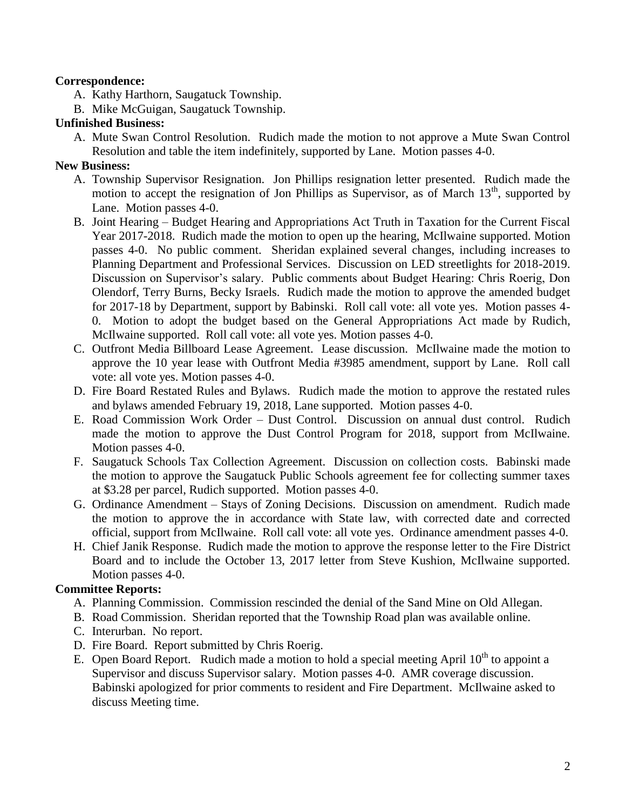## **Correspondence:**

A. Kathy Harthorn, Saugatuck Township.

B. Mike McGuigan, Saugatuck Township.

#### **Unfinished Business:**

A. Mute Swan Control Resolution. Rudich made the motion to not approve a Mute Swan Control Resolution and table the item indefinitely, supported by Lane. Motion passes 4-0.

## **New Business:**

- A. Township Supervisor Resignation. Jon Phillips resignation letter presented. Rudich made the motion to accept the resignation of Jon Phillips as Supervisor, as of March  $13<sup>th</sup>$ , supported by Lane. Motion passes 4-0.
- B. Joint Hearing Budget Hearing and Appropriations Act Truth in Taxation for the Current Fiscal Year 2017-2018. Rudich made the motion to open up the hearing, McIlwaine supported. Motion passes 4-0. No public comment. Sheridan explained several changes, including increases to Planning Department and Professional Services. Discussion on LED streetlights for 2018-2019. Discussion on Supervisor's salary. Public comments about Budget Hearing: Chris Roerig, Don Olendorf, Terry Burns, Becky Israels. Rudich made the motion to approve the amended budget for 2017-18 by Department, support by Babinski. Roll call vote: all vote yes. Motion passes 4- 0. Motion to adopt the budget based on the General Appropriations Act made by Rudich, McIlwaine supported. Roll call vote: all vote yes. Motion passes 4-0.
- C. Outfront Media Billboard Lease Agreement. Lease discussion. McIlwaine made the motion to approve the 10 year lease with Outfront Media #3985 amendment, support by Lane. Roll call vote: all vote yes. Motion passes 4-0.
- D. Fire Board Restated Rules and Bylaws. Rudich made the motion to approve the restated rules and bylaws amended February 19, 2018, Lane supported. Motion passes 4-0.
- E. Road Commission Work Order Dust Control. Discussion on annual dust control. Rudich made the motion to approve the Dust Control Program for 2018, support from McIlwaine. Motion passes 4-0.
- F. Saugatuck Schools Tax Collection Agreement. Discussion on collection costs. Babinski made the motion to approve the Saugatuck Public Schools agreement fee for collecting summer taxes at \$3.28 per parcel, Rudich supported. Motion passes 4-0.
- G. Ordinance Amendment Stays of Zoning Decisions. Discussion on amendment. Rudich made the motion to approve the in accordance with State law, with corrected date and corrected official, support from McIlwaine. Roll call vote: all vote yes. Ordinance amendment passes 4-0.
- H. Chief Janik Response. Rudich made the motion to approve the response letter to the Fire District Board and to include the October 13, 2017 letter from Steve Kushion, McIlwaine supported. Motion passes 4-0.

# **Committee Reports:**

- A. Planning Commission. Commission rescinded the denial of the Sand Mine on Old Allegan.
- B. Road Commission. Sheridan reported that the Township Road plan was available online.
- C. Interurban. No report.
- D. Fire Board. Report submitted by Chris Roerig.
- E. Open Board Report. Rudich made a motion to hold a special meeting April  $10<sup>th</sup>$  to appoint a Supervisor and discuss Supervisor salary. Motion passes 4-0. AMR coverage discussion. Babinski apologized for prior comments to resident and Fire Department. McIlwaine asked to discuss Meeting time.